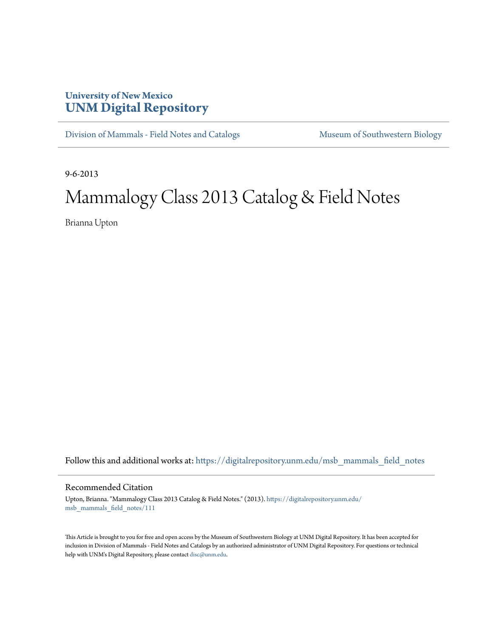## **University of New Mexico [UNM Digital Repository](https://digitalrepository.unm.edu?utm_source=digitalrepository.unm.edu%2Fmsb_mammals_field_notes%2F111&utm_medium=PDF&utm_campaign=PDFCoverPages)**

[Division of Mammals - Field Notes and Catalogs](https://digitalrepository.unm.edu/msb_mammals_field_notes?utm_source=digitalrepository.unm.edu%2Fmsb_mammals_field_notes%2F111&utm_medium=PDF&utm_campaign=PDFCoverPages) [Museum of Southwestern Biology](https://digitalrepository.unm.edu/msb?utm_source=digitalrepository.unm.edu%2Fmsb_mammals_field_notes%2F111&utm_medium=PDF&utm_campaign=PDFCoverPages)

9-6-2013

## Mammalogy Class 2013 Catalog & Field Notes

Brianna Upton

Follow this and additional works at: [https://digitalrepository.unm.edu/msb\\_mammals\\_field\\_notes](https://digitalrepository.unm.edu/msb_mammals_field_notes?utm_source=digitalrepository.unm.edu%2Fmsb_mammals_field_notes%2F111&utm_medium=PDF&utm_campaign=PDFCoverPages)

## Recommended Citation

Upton, Brianna. "Mammalogy Class 2013 Catalog & Field Notes." (2013). [https://digitalrepository.unm.edu/](https://digitalrepository.unm.edu/msb_mammals_field_notes/111?utm_source=digitalrepository.unm.edu%2Fmsb_mammals_field_notes%2F111&utm_medium=PDF&utm_campaign=PDFCoverPages) [msb\\_mammals\\_field\\_notes/111](https://digitalrepository.unm.edu/msb_mammals_field_notes/111?utm_source=digitalrepository.unm.edu%2Fmsb_mammals_field_notes%2F111&utm_medium=PDF&utm_campaign=PDFCoverPages)

This Article is brought to you for free and open access by the Museum of Southwestern Biology at UNM Digital Repository. It has been accepted for inclusion in Division of Mammals - Field Notes and Catalogs by an authorized administrator of UNM Digital Repository. For questions or technical help with UNM's Digital Repository, please contact [disc@unm.edu](mailto:disc@unm.edu).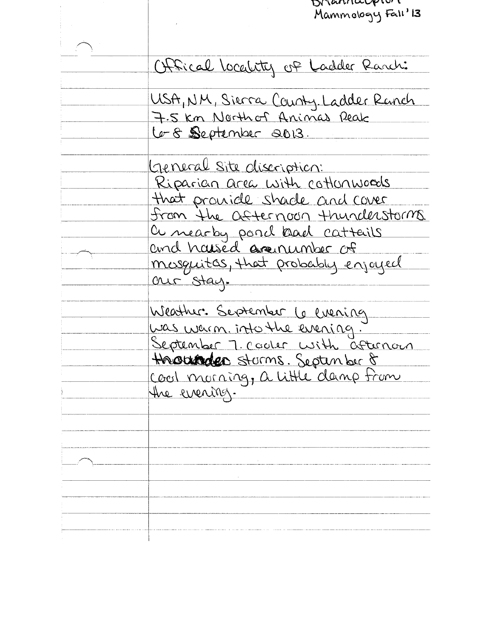| Draviaria provi                      |
|--------------------------------------|
| Mammology Fall' 13                   |
|                                      |
|                                      |
| Offical locality of Ladder Ranch:    |
|                                      |
| USA, NM, Sierra County, Ladder Ranch |
| 7.5 km Northof Animas Reak           |
| Le-8 September 2013.                 |
|                                      |
|                                      |
| General Site discription:            |
| Riparian area with cottonwoods       |
| that provide shade and cover         |
| from the afternoon thunderstorms.    |
| a nearby poind back cattails         |
| and hassed arenumber of              |
|                                      |
| masquitas, that probably enjoyed     |
| our stay.                            |
|                                      |
| Weather. September 6 evening         |
| <u>was warm. into the evening.</u>   |
| September 7. cooler with afternoon   |
| Hacunder sturms. Septenber 8         |
| Cool morning, a little damp from     |
|                                      |
| the evening.                         |
|                                      |
|                                      |
|                                      |
|                                      |
|                                      |
|                                      |
|                                      |
|                                      |
|                                      |
|                                      |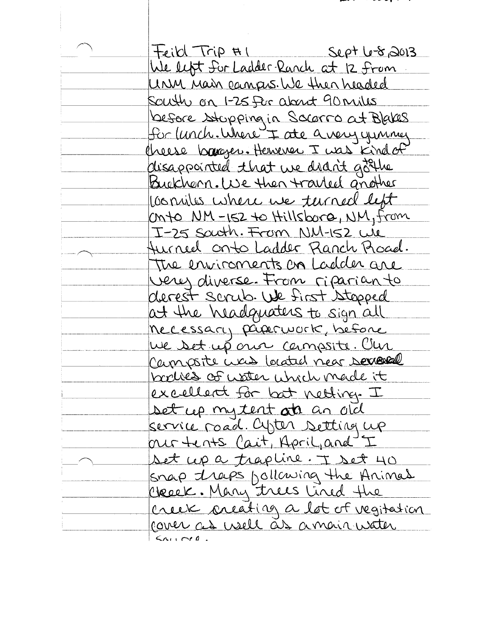| Feild Trip HI<br>$S_{L}\rho^{+}$ $L\rightarrow S_{0}$ $3013$   |
|----------------------------------------------------------------|
| We left for Ladder Ranch at 12 from                            |
| Urin Main campos. We then headed                               |
| South on 1-25 for about 90 miles                               |
| before stopping in Socorro at Blakes                           |
| Sor lunch. Where I are a very yunner                           |
| Cheese barager. Hensever I was kind of                         |
| disappointed that we didn't got the                            |
| Buckhorn. We then travel another                               |
| consiles where we turned left                                  |
| Onto NM-152 to Hillsborg, NM, from                             |
| I-25 South. From NM-152 We                                     |
| Hurned onto Ladder Ranch Proced.                               |
| The environnents on Ladder are                                 |
| very diverse. From riparianto                                  |
| derest scrub. We first stopped                                 |
| at the headquaters to sign all                                 |
| necessary proponent, before                                    |
| We set up our campsite. Clu                                    |
| Campoite was located near sexeral                              |
| baches of water which made it                                  |
| excellent for but nelting. I                                   |
| set up my tent at an old                                       |
| service road. Cyter setting up<br>our tents Cait, April, and I |
|                                                                |
| set up a trapline. I set 40                                    |
| snap traps bollowing the Animal<br>Ckeek. Many trees lined the |
| Creek creating a lot of vegitation                             |
| cover as usell as a mair water                                 |
| $\zeta_{\Lambda i}$ , red                                      |

 $\sim$   $\sim$   $\sim$   $\sim$   $\sim$ 

- .  $\mathcal{L}$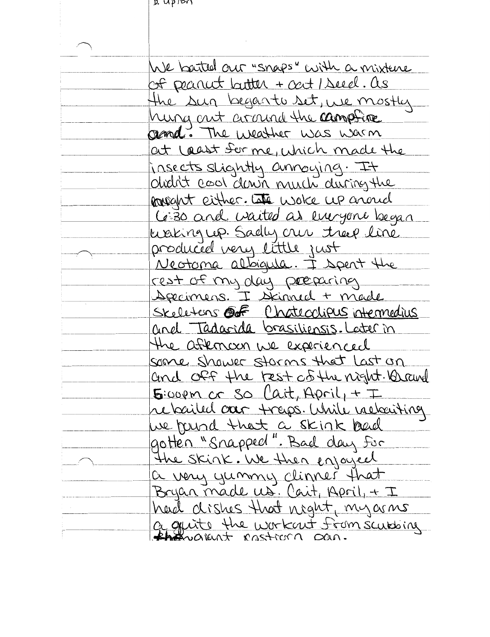$\mu$  uppon

ŧ

| We barted our "snaps" with a mixture                              |
|-------------------------------------------------------------------|
| of peanet butter + oat / Seed. as                                 |
| the sun begants set, we mostly                                    |
| hung out around the campfire                                      |
| gend. The weather was warm                                        |
| at least for me, which made the                                   |
|                                                                   |
| insects slightly annoying. It<br>Olidit cool down much during the |
| powant either. Late woke up anoud                                 |
| Ce 30 and waited as energone began                                |
| waking up. Sadly our treep line                                   |
| produced very little just                                         |
| Nectoma altoigula. I spent the                                    |
| rest of my day preparing                                          |
| <u>Apecimens. I sicinned + made</u>                               |
| Skeletens OF Chatecolipus intermedius                             |
| and Tadarida brasiliensis. Later in                               |
| the aftencon we experienced                                       |
| some shower storms that Last on                                   |
| and off the rest of the night. A rand                             |
| $5$ :00pm or so Cait, April, + I                                  |
| rebailed our traps. While valociting                              |
| we found that a skink bad                                         |
| gotten "Snapped". Bad day for                                     |
| The Skink. We then enjoyed                                        |
| a very yummy clinner that                                         |
| Bryan made us. Cait, April, + I                                   |
| had dishes that night, my arms                                    |
| a quite the workent from scubbing                                 |
|                                                                   |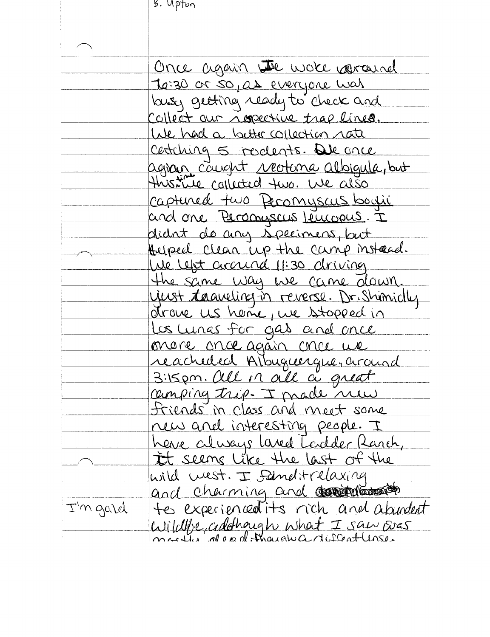B. Upton

|          | Once again we work varausel                                       |
|----------|-------------------------------------------------------------------|
|          |                                                                   |
|          | To:30 or so, as everyone was<br>busy getting ready to check and   |
|          | Collect our respective trap lines.                                |
|          | We had a buttle collection rate                                   |
|          | certaing 5 rocleats. De once                                      |
|          |                                                                   |
|          | agran caught <u>reotona</u> albigula, but                         |
|          | Captured two Peromyscus boyii                                     |
|          | and one Personiscus Leucopus. I                                   |
|          | didnt de any specimens, but                                       |
|          | Auped clean up the camp instead.                                  |
|          | We left arcund 11:30 driving                                      |
|          | the same way we came down.                                        |
|          | yerst transling in reverse. Dr. Shimidly                          |
|          |                                                                   |
|          | Los Lunas for gas and once                                        |
|          | onare once again chee we                                          |
|          | reacheded Albuguerque, around                                     |
|          |                                                                   |
|          | camping trip. I made new                                          |
|          | <u>Iriends in class and meet some</u>                             |
|          | new and interesting people. I                                     |
|          | heve always lared Toidder Ranch,<br>It seems like the last of the |
|          |                                                                   |
|          | wild west. I find trelaxing                                       |
|          | and charming and control                                          |
| I'm gard | tes experiencedits rich and abundent                              |
|          | Wildlive, addhaugh what I saw over                                |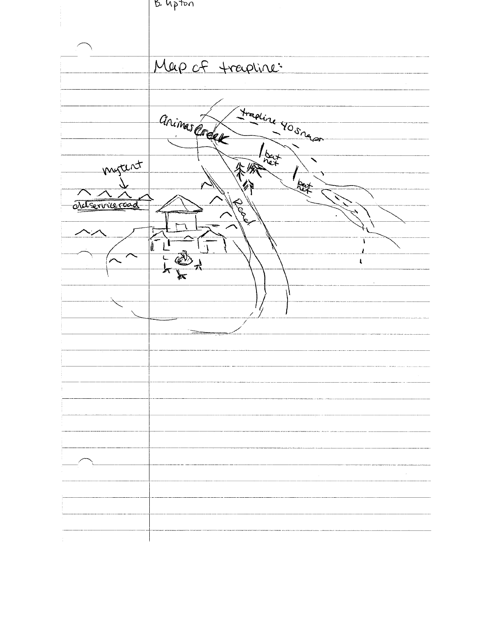|                 | B. Upton                        |
|-----------------|---------------------------------|
|                 |                                 |
|                 |                                 |
|                 |                                 |
|                 |                                 |
|                 |                                 |
|                 |                                 |
|                 | Map of trapline:                |
|                 |                                 |
|                 |                                 |
|                 |                                 |
|                 |                                 |
|                 |                                 |
|                 |                                 |
|                 |                                 |
|                 |                                 |
|                 | Frading 90 snaps<br>animas Code |
|                 | $\frac{1}{n}$                   |
|                 |                                 |
| mytent          |                                 |
|                 |                                 |
|                 | لزويلا<br>q.                    |
|                 | $\sqrt{2}$                      |
| eleterrice road | Road                            |
|                 |                                 |
|                 |                                 |
| ヽノ              |                                 |
|                 |                                 |
|                 | II                              |
|                 | $\bigoplus_{\mathcal{A}}$       |
|                 |                                 |
|                 | ⊭                               |
|                 |                                 |
|                 |                                 |
|                 |                                 |
|                 |                                 |
|                 |                                 |
|                 |                                 |
|                 |                                 |
|                 |                                 |
|                 |                                 |
|                 |                                 |
|                 |                                 |
|                 |                                 |
|                 |                                 |
|                 |                                 |
|                 |                                 |
|                 |                                 |
|                 |                                 |
|                 |                                 |
|                 |                                 |
|                 |                                 |
|                 |                                 |
|                 |                                 |
|                 |                                 |
|                 |                                 |
|                 |                                 |
|                 |                                 |
|                 |                                 |
|                 |                                 |
|                 |                                 |
|                 |                                 |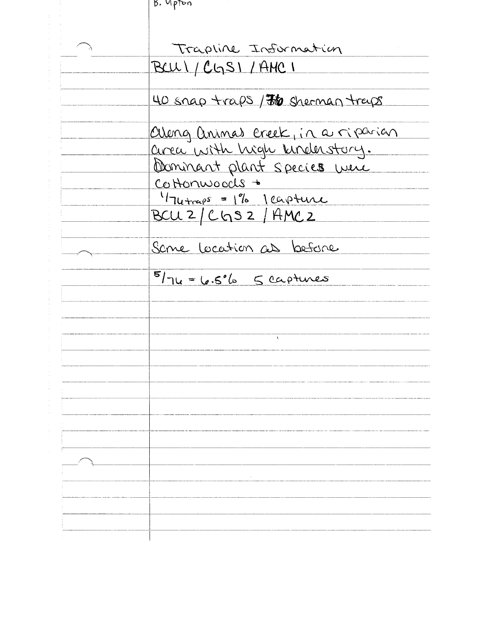| B. Upton                            |
|-------------------------------------|
|                                     |
|                                     |
| Trapline Information                |
| BCUI/CGSI/AMCI                      |
|                                     |
| 40 snap traps / 76 sherman traps    |
|                                     |
| along animas creek, in a riparian   |
| area with high kinderstory.         |
| Dominant plant species were         |
| Cottonwoods +                       |
| $174 + \frac{1}{25} = 1%$ leapteure |
| BCU 2/ CGS 2/ AMC 2                 |
|                                     |
| Same Location as before             |
|                                     |
| $5/74 = 6.5%$ 5 captures            |
|                                     |
|                                     |
|                                     |
|                                     |
|                                     |
|                                     |
|                                     |
|                                     |
|                                     |
|                                     |
|                                     |
|                                     |
|                                     |
|                                     |
|                                     |
|                                     |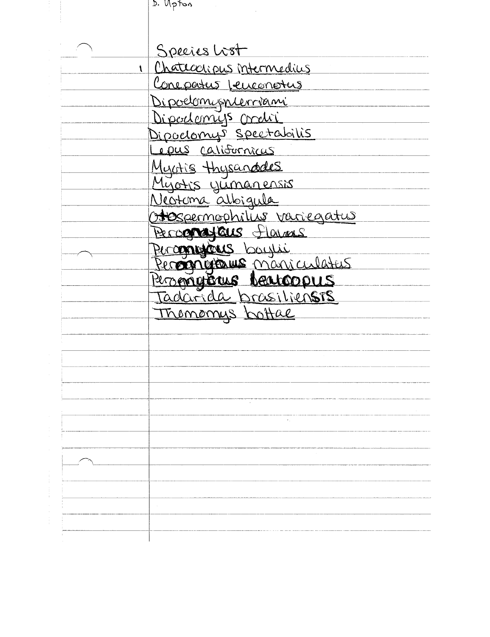| D. Upton |  |
|----------|--|
|          |  |

|              | Species Lost                                           |
|--------------|--------------------------------------------------------|
| $\mathbf{I}$ | Chatecorious intermedius                               |
|              | <u>Conepatus jeuconotus</u>                            |
|              | Dipoelomisnierriami                                    |
|              | Dipodemiys credi                                       |
|              | <u>Dipoelomys spectabilis</u>                          |
|              | <u>epus</u> californicus                               |
|              | Myotis thysanddes                                      |
|              | Myotis yumanensis                                      |
|              | Neotoma albigula                                       |
|              | Hespermophilis variegatus                              |
|              | Percorrateus Flaveus                                   |
|              | Perconogénes boughi                                    |
|              | Perogrifforme maniculateur                             |
|              |                                                        |
|              | <u> Pergnigions Neuroopus</u><br>Tadarida brasiliensis |
|              | Thomomys bottal                                        |
|              |                                                        |
|              |                                                        |
|              |                                                        |
|              |                                                        |
|              |                                                        |
|              |                                                        |
|              |                                                        |
|              |                                                        |
|              |                                                        |
|              |                                                        |
|              |                                                        |
|              |                                                        |
|              |                                                        |
|              |                                                        |

 $\label{eq:2} \frac{1}{\sqrt{2}}\int_{0}^{\infty}\frac{1}{\sqrt{2\pi}}\left(\frac{1}{\sqrt{2}}\right)^{2}d\mu_{\rm{eff}}$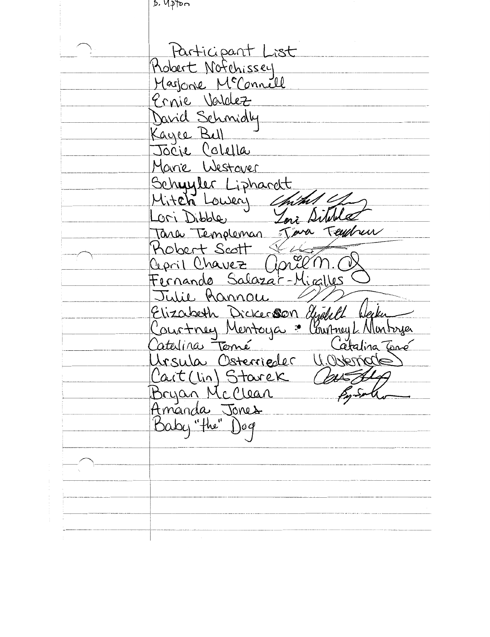ngth , q Participant List Robert Notchissey Marjoine McConnell Ernie Valdez David Schmidly Kayee Bull<br>Jocje Colella Marie Westover Schuyler Liphardt<br>Mitch Lowery Charl Teychen Tara Templeman of Hobert Scott SEL preem. Cepril Chavez Fernando Salazat-Micalles Julie Rannou Elizabeth Dickerour, agour<br>Courtney Mentoya : Courtney L Mon Elizabeth Dickerson Gydell Arsula Osterrieder U.Osterrade Cart (lin) Starek<br>Bryan McClean<br>Amanda Jones<br>Baby "the" Dog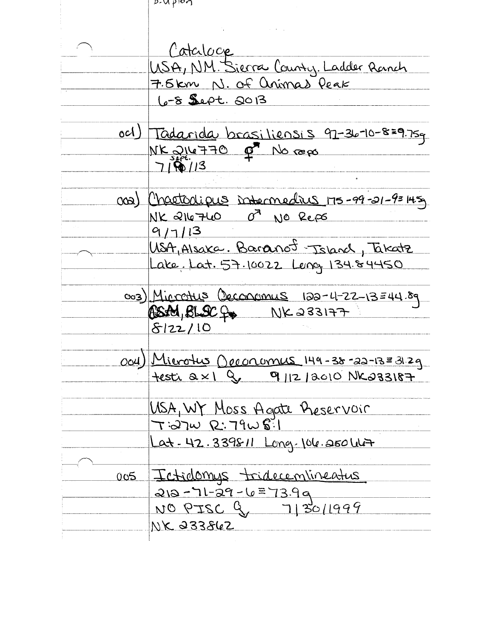$D$ -Uppon Cataloge USA, NM. Sierra County. Ladder Ranch 7.5km N. Of animas Peak 6-8 Sept. 2013  $och$ ) Tadarida brasiliensis 97-36-10-8=9.75g NK 216770 p<sup>7</sup> No repo  $719/13$ Chaetodipus intermedius 175-99-21-9=145  $(\infty)$ of No Reps NK 216760 9/7/13 USA, Alsaka. Baranot Tsland, Takatz Lake Lat. 57.10022 Leng 134.84450 <u>003) Microtus Oeconomus 122-12-13=44.89</u> ASAM, BLSCf& NK233177  $8122/10$ Ocu) Microtus Opeonomus 149-38-22-13=31.2g  $f$ esti  $a \times 1$  q  $q$  q  $|12|$   $a$   $a$  10  $N$  $a$   $33187$ <u>USA, WY Moss Agate Preservoir</u>  $T:27\omega$  R:  $79\omega$  8:1 Lat-42.339811 Long-106.250 W+ Ictidomys tridecentineatus  $005$ 212-71-29-6=73.99 NO PISC 9, 7130/1999 NK 233862